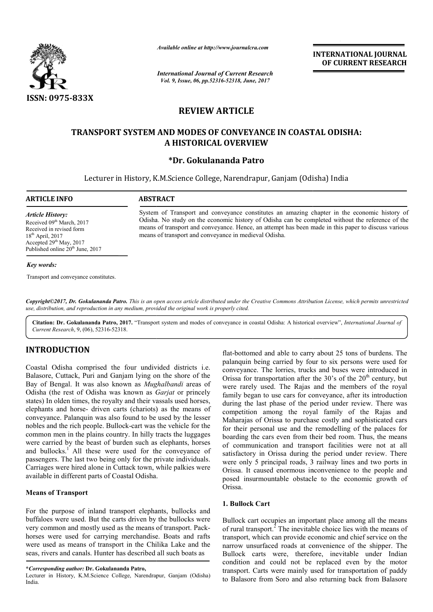

*International Journal of Current Research Vol. 9, Issue, 06, pp.52316-52318, June, 2017*

**INTERNATIONAL JOURNAL OF CURRENT RESEARCH** 

# **REVIEW ARTICLE**

# **TRANSPORT SYSTEM AND MODES OF CONVEYANCE IN COASTAL ODISHA: AND MODES A HISTORICAL OVERVIEW**

# **\*Dr. Gokulananda Patro**

Lecturer in History, K.M.Science College, Narendrapur, Ganjam (Odisha) India

**ARTICLE INFO ABSTRACT** 

*Article History:* Received 09<sup>th</sup> March, 2017

System of Transport and conveyance constitutes an amazing chapter in the economic history of Odisha. No study on the economic history of Odisha can be completed without the reference of the System of Transport and conveyance constitutes an amazing chapter in the economic history of Odisha. No study on the economic history of Odisha can be completed without the reference of the means of transport and conveyanc means of transport and conveyance in medieval Odisha. Available online at http://www.journalcra.com<br>
International Journal of Current Researc<br>
Vol. 9, Issue, 06, pp.52316-52318, June, 2017<br> **REVIEW ARTICLE**<br> **TEM AND MODES OF CONVEYAN(**<br>
A HISTORICAL OVERVIEW<br>
\*Dr. Gokulanand

## Received in revised form 18th April, 2017 Accepted 29<sup>th</sup> May, 2017 Published online 20<sup>th</sup> June, 2017

### *Key words:*

Transport and conveyance constitutes.

*Copyright©2017, Dr. Gokulananda Patro. This is an open access article distributed under the Creative Commons Att Attribution License, which ribution which permits unrestricted use, distribution, and reproduction in any medium, provided the original work is properly cited.*

Citation: Dr. Gokulananda Patro, 2017. "Transport system and modes of conveyance in coastal Odisha: A historical overview", *International Journal of Current Research*, 9, (06), 52316-52318.

# **INTRODUCTION**

Coastal Odisha comprised the four undivided districts i.e. Balasore, Cuttack, Puri and Ganjam lying on the shore of the Bay of Bengal. It was also known as *Mughalbandi* areas of Odisha (the rest of Odisha was known as *Garjat* or princely states) In olden times, the royalty and their vassals used horses, elephants and horse- driven carts (chariots) as the means of conveyance. Palanquin was also found to be used by the lesser nobles and the rich people. Bullock-cart was the vehicle for the common men in the plains country. In hilly tracts the luggages were carried by the beast of burden such as elephants, horses and bullocks.<sup>1</sup> All these were used for the conveyance of passengers. The last two being only for the private individuals. Carriages were hired alone in Cuttack town, while palkies were available in different parts of Coastal Odisha. y and their vassals used horses,<br>rts (chariots) as the means of<br>found to be used by the lesser<br>ock-cart was the vehicle for the<br>tury. In hilly tracts the luggages<br>rden such as elephants, horses<br>used for the conveyance of<br>o

# **Means of Transport**

For the purpose of inland transport elephants, bullocks and buffaloes were used. But the carts driven by the bullocks were very common and mostly used as the means of transport. Pack horses were used for carrying merchandise. Boats and rafts were used as means of transport in the Chilika Lake and the seas, rivers and canals. Hunter has described all such boats as

Flat-bottomed and be to carry about 25 tons of burdens. The<br>
conveyance. The lorries, trucks and buses were used for<br>
conveyance. The lorries, trucks and buses were intoduced in<br>
It was also known as *Mughalbandi* areas of palanquin being carried by four to six persons were used for conveyance. The lorries, trucks and buses were introduced in Orissa for transportation after the  $30^{\circ}$ s of the  $20^{\text{th}}$  century, but were rarely used. The Rajas and the members of the royal family began to use cars for conveyance, after its introduction during the last phase of the period under review. There was competition among the royal family of the Rajas and Maharajas of Orissa to purchase costly and sophisticated cars for their personal use and the remodelling of the palaces for for their personal use and the remodelling of the palaces for boarding the cars even from their bed room. Thus, the means of communication and transport facilities were not at all of communication and transport facilities were not at all satisfactory in Orissa during the period under review. There were only 5 principal roads, 3 railway lines and two ports in Orissa. It caused enormous inconvenience to the people and posed insurmountable obstacle to the economic growth of Orissa. were only 5 principal roads, 3 railway lines and two ports in<br>Orissa. It caused enormous inconvenience to the people and<br>posed insurmountable obstacle to the economic growth of<br>Orissa.<br>**1. Bullock Cart**<br>Bullock cart occupi I and able to carry about 25 tons of burdens. The ing carried by four to six persons were used for The lorries, trucks and buses were introduced in imsportation after the  $30's$  of the  $20<sup>th</sup>$  century, but were rarely used. The Rajas and the members of the royal family began to use cars for conveyance, after its introduction during the last phase of the period under review. There was competition among the royal family of the **INTERNATIONAL JOURNAL CONDITION CONDITION CONDITION CONDITION CONDITIONS (CONDITION) THE RECONSTRIEUT CONDITIONS (CONDITION) THE VALUE OF THE SHIPS (CONDITION) THE VALUE OF THE SHIPS (CONDITION) THE SHIPS (CONDITION) THE** 

### **1. Bullock Cart**

of rural transport. $^2$  The inevitable choice lies with the means of transport, which can provide economic and chief service on the narrow unsurfaced roads at convenience of the shipper. The Bullock carts were, therefore, inevitable under Indian condition and could not be replaced even by the motor transport. Carts were mainly used for transportation of paddy to Balasore from Soro and also returning back from Balasore

**<sup>\*</sup>***Corresponding author:* **Dr. Gokulananda Patro,**

Lecturer in History, K.M.Science College, Narendrapur, Ganjam (Odisha) India.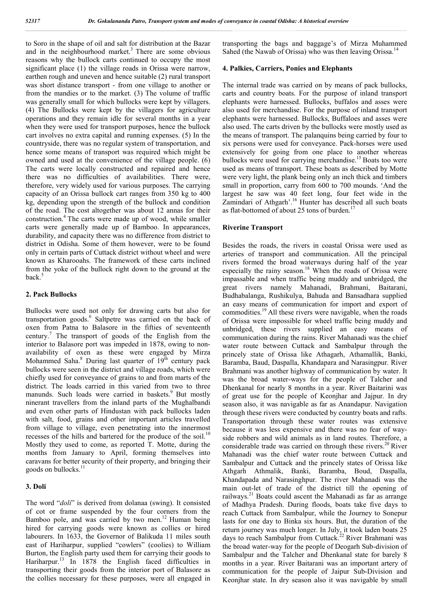to Soro in the shape of oil and salt for distribution at the Bazar and in the neighbourhood market. $3$  There are some obvious reasons why the bullock carts continued to occupy the most significant place (1) the village roads in Orissa were narrow, earthen rough and uneven and hence suitable (2) rural transport was short distance transport - from one village to another or from the mandies or to the market. (3) The volume of traffic was generally small for which bullocks were kept by villagers. (4) The Bullocks were kept by the villagers for agriculture operations and they remain idle for several months in a year when they were used for transport purposes, hence the bullock cart involves no extra capital and running expenses. (5) In the countryside, there was no regular system of transportation, and hence some means of transport was required which might be owned and used at the convenience of the village people. (6) The carts were locally constructed and repaired and hence there was no difficulties of availabilities. There were, therefore, very widely used for various purposes. The carrying capacity of an Orissa bullock cart ranges from 350 kg to 400 kg, depending upon the strength of the bullock and condition of the road. The cost altogether was about 12 annas for their construction.<sup>4</sup> The carts were made up of wood, while smaller carts were generally made up of Bamboo. In appearances, durability, and capacity there was no difference from district to district in Odisha. Some of them however, were to be found only in certain parts of Cuttack district without wheel and were known as Kharooahs. The framework of these carts inclined from the yoke of the bullock right down to the ground at the back.<sup>5</sup>

#### **2. Pack Bullocks**

Bullocks were used not only for drawing carts but also for transportation goods.<sup>6</sup> Saltpetre was carried on the back of oxen from Patna to Balasore in the fifties of seventeenth century.7 The transport of goods of the English from the interior to Balasore port was impeded in 1878, owing to nonavailability of oxen as these were engaged by Mirza Mohammed Saha. $8$  During last quarter of  $19<sup>th</sup>$  century pack bullocks were seen in the district and village roads, which were chiefly used for conveyance of grains to and from marts of the district. The loads carried in this varied from two to three manunds. Such loads were carried in baskets.<sup>9</sup> But mostly ninerant travellers from the inland parts of the Mughalbandi and even other parts of Hindustan with pack bullocks laden with salt, food, grains and other important articles travelled from village to village, even penetrating into the innermost recesses of the hills and bartered for the produce of the soil.<sup>10</sup> Mostly they used to come, as reported T. Motte, during the months from January to April, forming themselves into caravans for better security of their property, and bringing their goods on bullocks.<sup>1</sup>

#### **3. Doli**

The word "*doli*" is derived from dolanaa (swing). It consisted of cot or frame suspended by the four corners from the Bamboo pole, and was carried by two men.<sup>12</sup> Human being hired for carrying goods were known as collies or hired labourers. In 1633, the Governor of Balikuda 11 miles south east of Hariharpur, supplied "cowlers" (coolies) to William Burton, the English party used them for carrying their goods to Hariharpur.<sup>13</sup> In 1878 the English faced difficulties in transporting their goods from the interior port of Balasore as the collies necessary for these purposes, were all engaged in transporting the bags and baggage's of Mirza Muhammed Sahed (the Nawab of Orissa) who was then leaving Orissa.<sup>14</sup>

#### **4. Palkies, Carriers, Ponies and Elephants**

The internal trade was carried on by means of pack bullocks, carts and country boats. For the purpose of inland transport elephants were harnessed. Bullocks, buffalos and asses were also used for merchandise. For the purpose of inland transport elephants were harnessed. Bullocks, Buffaloes and asses were also used. The carts driven by the bullocks were mostly used as the means of transport. The palanquins being carried by four to six persons were used for conveyance. Pack-horses were used extensively for going from one place to another whereas bullocks were used for carrying merchandise.<sup>15</sup> Boats too were used as means of transport. These boats as described by Motte were very light, the plank being only an inch thick and timbers small in proportion, carry from 600 to 700 mounds. 'And the largest he saw was 40 feet long, four feet wide in the Zamindari of Athgarh'.<sup>16</sup> Hunter has described all such boats as flat-bottomed of about 25 tons of burden.<sup>17</sup>

## **Riverine Transport**

Besides the roads, the rivers in coastal Orissa were used as arteries of transport and communication. All the principal rivers formed the broad waterways during half of the year especially the rainy season.<sup>18</sup> When the roads of Orissa were impassable and when traffic being muddy and unbridged, the great rivers namely Mahanadi, Brahmani, Baitarani, Budhabalanga, Rushikulya, Bahuda and Bansadhara supplied an easy means of communication for import and export of commodities.<sup>19</sup> All these rivers were navigable, when the roads of Orissa were impossible for wheel traffic being muddy and unbridged, these rivers supplied an easy means of communication during the rains. River Mahanadi was the chief water route between Cuttack and Sambalpur through the princely state of Orissa like Athagarh, Athamallik, Banki, Baramba, Baud, Daspalla, Khandapara and Narasingpur. River Brahmani was another highway of communication by water. It was the broad water-ways for the people of Talcher and Dhenkanal for nearly 8 months in a year. River Baitarini was of great use for the people of Keonjhar and Jajpur. In dry season also, it was navigable as far as Anandapur. Navigation through these rivers were conducted by country boats and rafts. Transportation through these water routes was extensive because it was less expensive and there was no fear of wayside robbers and wild animals as in land routes. Therefore, a considerable trade was carried on through these rivers. $^{20}$  River Mahanadi was the chief water route between Cuttack and Sambalpur and Cuttack and the princely states of Orissa like Athgarh Athmalik, Banki, Baramba, Boud, Daspalla, Khandapada and Narasinghpur. The river Mahanadi was the main out-let of trade of the district till the opening of railways.<sup>21</sup> Boats could ascent the Mahanadi as far as arrange of Madhya Pradesh. During floods, boats take five days to reach Cuttack from Sambalpur, while the Journey to Sonepur lasts for one day to Binka six hours. But, the duration of the return journey was much longer. In July, it took laden boats 25 days to reach Sambalpur from Cuttack.<sup>22</sup> River Brahmani was the broad water-way for the people of Deogarh Sub-division of Sambalpur and the Talcher and Dhenkanal state for barely 8 months in a year. River Baitarani was an important artery of communication for the people of Jaipur Sub-Division and Keonjhar state. In dry season also it was navigable by small